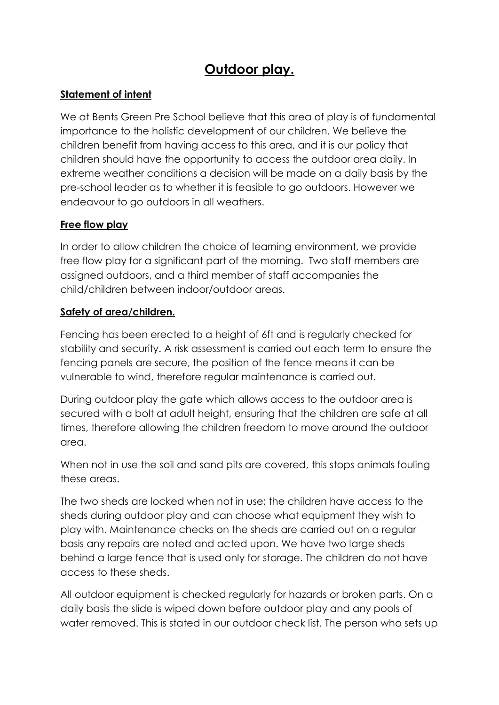# Outdoor play.

## Statement of intent

We at Bents Green Pre School believe that this area of play is of fundamental importance to the holistic development of our children. We believe the children benefit from having access to this area, and it is our policy that children should have the opportunity to access the outdoor area daily. In extreme weather conditions a decision will be made on a daily basis by the pre-school leader as to whether it is feasible to go outdoors. However we endeavour to go outdoors in all weathers.

### Free flow play

In order to allow children the choice of learning environment, we provide free flow play for a significant part of the morning. Two staff members are assigned outdoors, and a third member of staff accompanies the child/children between indoor/outdoor areas.

#### Safety of area/children.

Fencing has been erected to a height of 6ft and is regularly checked for stability and security. A risk assessment is carried out each term to ensure the fencing panels are secure, the position of the fence means it can be vulnerable to wind, therefore regular maintenance is carried out.

During outdoor play the gate which allows access to the outdoor area is secured with a bolt at adult height, ensuring that the children are safe at all times, therefore allowing the children freedom to move around the outdoor area.

When not in use the soil and sand pits are covered, this stops animals fouling these areas.

The two sheds are locked when not in use; the children have access to the sheds during outdoor play and can choose what equipment they wish to play with. Maintenance checks on the sheds are carried out on a regular basis any repairs are noted and acted upon. We have two large sheds behind a large fence that is used only for storage. The children do not have access to these sheds.

All outdoor equipment is checked regularly for hazards or broken parts. On a daily basis the slide is wiped down before outdoor play and any pools of water removed. This is stated in our outdoor check list. The person who sets up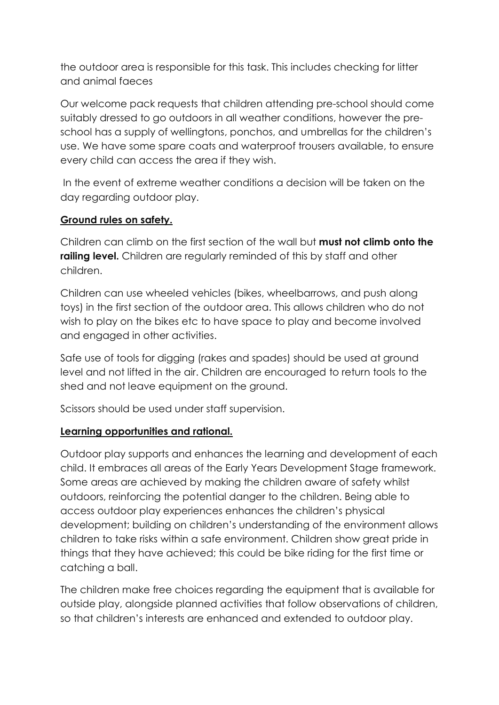the outdoor area is responsible for this task. This includes checking for litter and animal faeces

Our welcome pack requests that children attending pre-school should come suitably dressed to go outdoors in all weather conditions, however the preschool has a supply of wellingtons, ponchos, and umbrellas for the children's use. We have some spare coats and waterproof trousers available, to ensure every child can access the area if they wish.

 In the event of extreme weather conditions a decision will be taken on the day regarding outdoor play.

### Ground rules on safety.

Children can climb on the first section of the wall but **must not climb onto the** railing level. Children are regularly reminded of this by staff and other children.

Children can use wheeled vehicles (bikes, wheelbarrows, and push along toys) in the first section of the outdoor area. This allows children who do not wish to play on the bikes etc to have space to play and become involved and engaged in other activities.

Safe use of tools for digging (rakes and spades) should be used at ground level and not lifted in the air. Children are encouraged to return tools to the shed and not leave equipment on the ground.

Scissors should be used under staff supervision.

### Learning opportunities and rational.

Outdoor play supports and enhances the learning and development of each child. It embraces all areas of the Early Years Development Stage framework. Some areas are achieved by making the children aware of safety whilst outdoors, reinforcing the potential danger to the children. Being able to access outdoor play experiences enhances the children's physical development; building on children's understanding of the environment allows children to take risks within a safe environment. Children show great pride in things that they have achieved; this could be bike riding for the first time or catching a ball.

The children make free choices regarding the equipment that is available for outside play, alongside planned activities that follow observations of children, so that children's interests are enhanced and extended to outdoor play.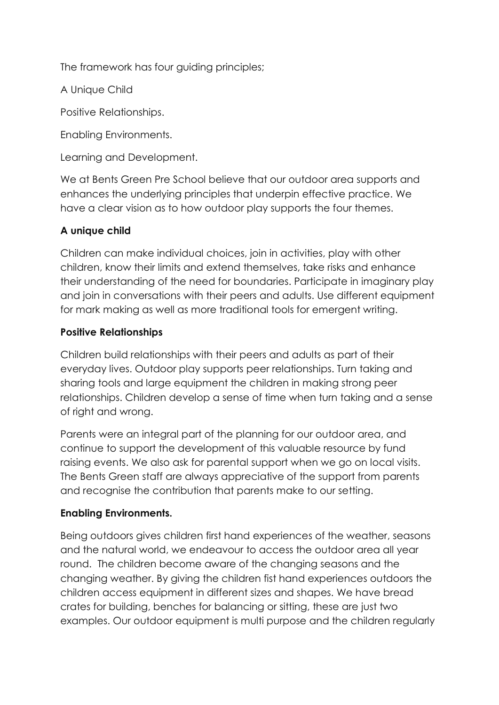The framework has four guiding principles;

A Unique Child

Positive Relationships.

Enabling Environments.

Learning and Development.

We at Bents Green Pre School believe that our outdoor area supports and enhances the underlying principles that underpin effective practice. We have a clear vision as to how outdoor play supports the four themes.

## A unique child

Children can make individual choices, join in activities, play with other children, know their limits and extend themselves, take risks and enhance their understanding of the need for boundaries. Participate in imaginary play and join in conversations with their peers and adults. Use different equipment for mark making as well as more traditional tools for emergent writing.

## Positive Relationships

Children build relationships with their peers and adults as part of their everyday lives. Outdoor play supports peer relationships. Turn taking and sharing tools and large equipment the children in making strong peer relationships. Children develop a sense of time when turn taking and a sense of right and wrong.

Parents were an integral part of the planning for our outdoor area, and continue to support the development of this valuable resource by fund raising events. We also ask for parental support when we go on local visits. The Bents Green staff are always appreciative of the support from parents and recognise the contribution that parents make to our setting.

## Enabling Environments.

Being outdoors gives children first hand experiences of the weather, seasons and the natural world, we endeavour to access the outdoor area all year round. The children become aware of the changing seasons and the changing weather. By giving the children fist hand experiences outdoors the children access equipment in different sizes and shapes. We have bread crates for building, benches for balancing or sitting, these are just two examples. Our outdoor equipment is multi purpose and the children regularly